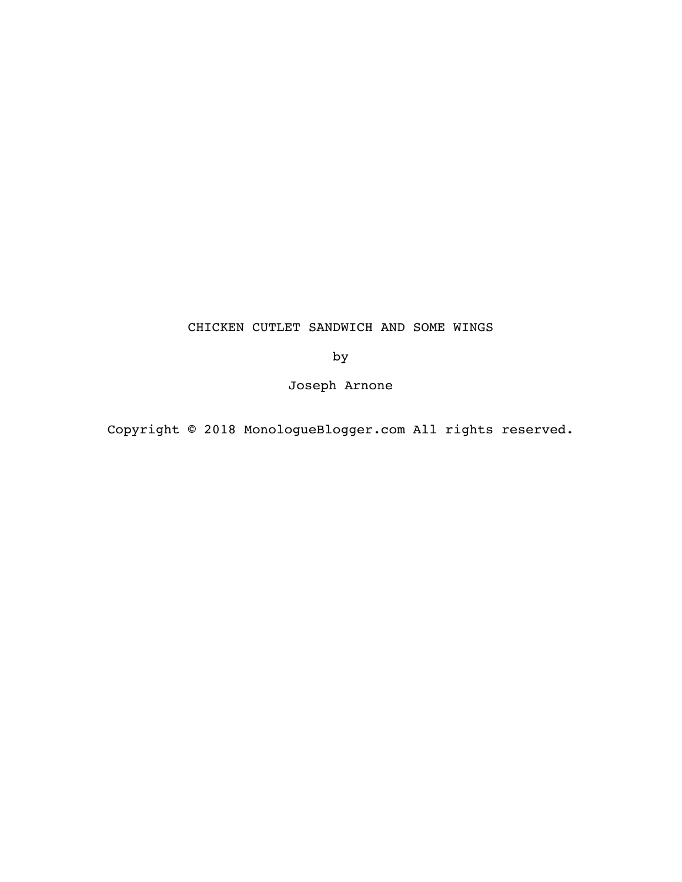# CHICKEN CUTLET SANDWICH AND SOME WINGS

by

Joseph Arnone

Copyright © 2018 MonologueBlogger.com All rights reserved.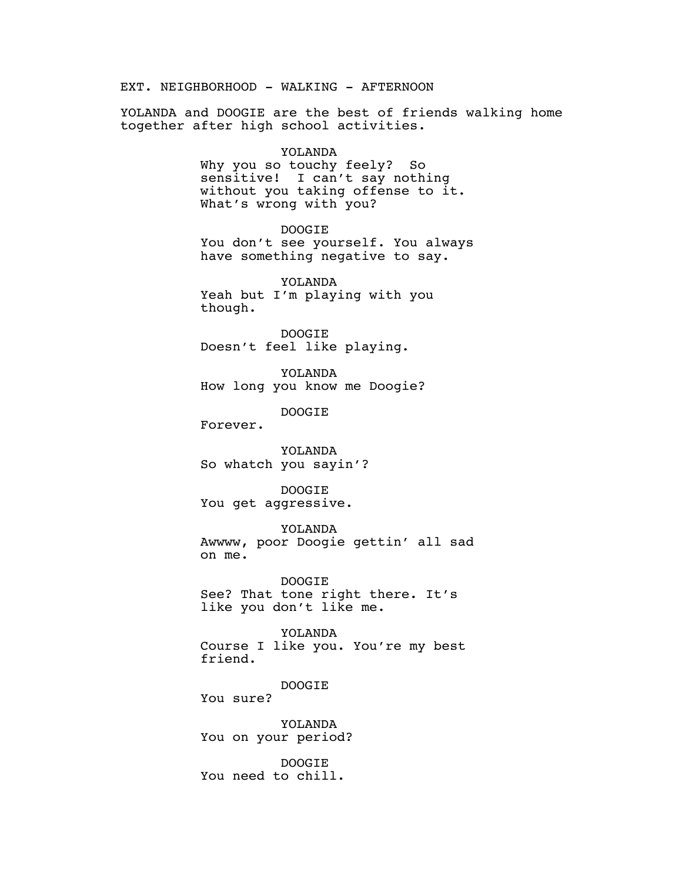EXT. NEIGHBORHOOD - WALKING - AFTERNOON

YOLANDA and DOOGIE are the best of friends walking home together after high school activities.

#### YOLANDA

Why you so touchy feely? So sensitive! I can't say nothing without you taking offense to it. What's wrong with you?

## DOOGIE

You don't see yourself. You always have something negative to say.

YOLANDA Yeah but I'm playing with you though.

DOOGIE Doesn't feel like playing.

YOLANDA How long you know me Doogie?

DOOGIE

Forever.

YOLANDA So whatch you sayin'?

DOOGIE You get aggressive.

YOLANDA

Awwww, poor Doogie gettin' all sad on me.

DOOGIE See? That tone right there. It's like you don't like me.

YOLANDA Course I like you. You're my best friend.

DOOGIE

You sure?

YOLANDA You on your period?

DOOGIE You need to chill.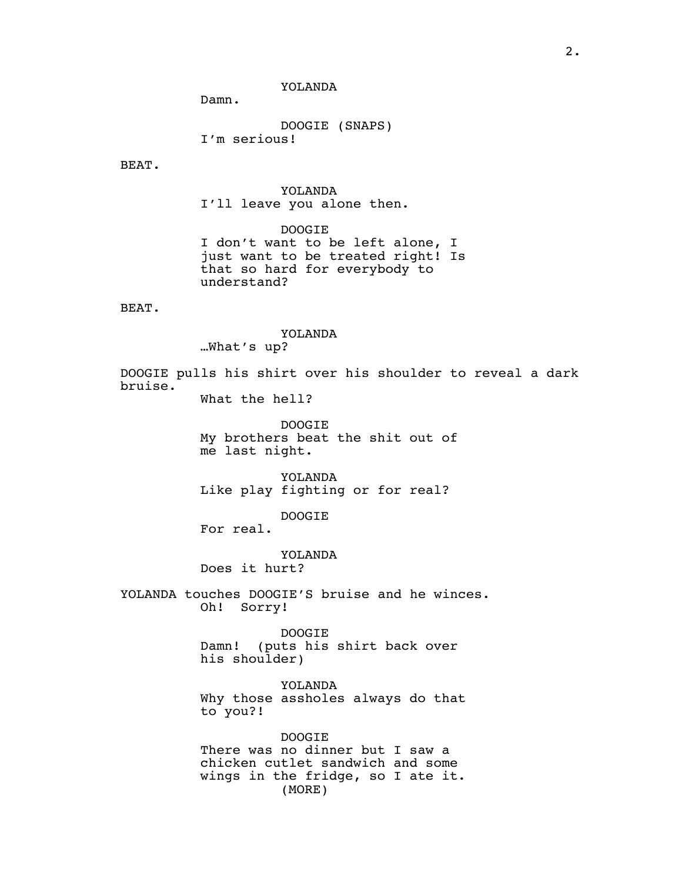YOLANDA

Damn.

DOOGIE (SNAPS) I'm serious!

BEAT.

YOLANDA I'll leave you alone then.

DOOGIE I don't want to be left alone, I just want to be treated right! Is that so hard for everybody to understand?

BEAT.

### YOLANDA …What's up?

DOOGIE pulls his shirt over his shoulder to reveal a dark bruise.

What the hell?

DOOGIE My brothers beat the shit out of me last night.

YOLANDA Like play fighting or for real?

DOOGIE

For real.

YOLANDA Does it hurt?

YOLANDA touches DOOGIE'S bruise and he winces.

Oh! Sorry!

DOOGIE Damn! (puts his shirt back over his shoulder)

YOLANDA Why those assholes always do that to you?!

DOOGIE There was no dinner but I saw a chicken cutlet sandwich and some wings in the fridge, so I ate it. (MORE)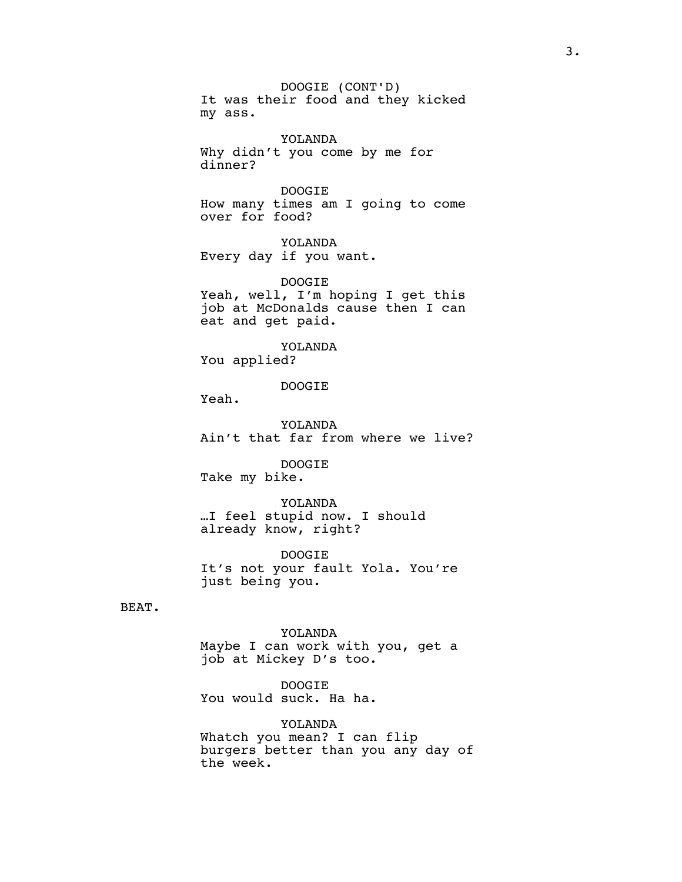DOOGIE (CONT'D) It was their food and they kicked my ass.

YOLANDA Why didn't you come by me for dinner?

DOOGIE How many times am I going to come over for food?

YOLANDA Every day if you want.

DOOGIE Yeah, well, I'm hoping I get this job at McDonalds cause then I can eat and get paid.

YOLANDA You applied?

DOOGIE

Yeah.

YOLANDA Ain't that far from where we live?

DOOGIE

Take my bike.

YOLANDA …I feel stupid now. I should already know, right?

DOOGIE It's not your fault Yola. You're just being you.

BEAT.

YOLANDA Maybe I can work with you, get a job at Mickey D's too.

DOOGIE You would suck. Ha ha.

YOLANDA Whatch you mean? I can flip burgers better than you any day of the week.